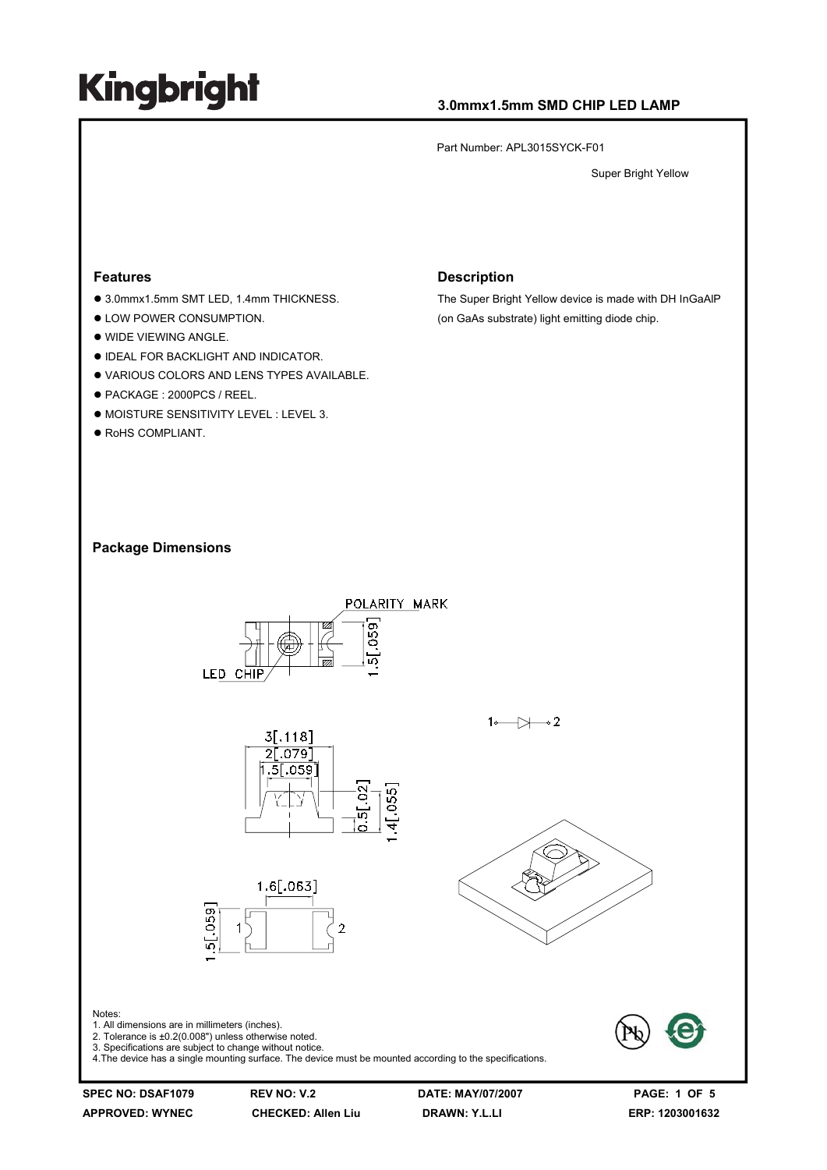### **3.0mmx1.5mm SMD CHIP LED LAMP**

Part Number: APL3015SYCK-F01

Super Bright Yellow

#### **Features**

- 3.0mmx1.5mm SMT LED, 1.4mm THICKNESS.
- $\bullet$  LOW POWER CONSUMPTION.
- $\bullet$  WIDE VIEWING ANGLE.
- $\bullet$  IDEAL FOR BACKLIGHT AND INDICATOR.
- . VARIOUS COLORS AND LENS TYPES AVAILABLE.
- z PACKAGE : 2000PCS / REEL.
- $\bullet$  MOISTURE SENSITIVITY LEVEL : LEVEL 3.
- $\bullet$  RoHS COMPLIANT.

#### **Description**

The Super Bright Yellow device is made with DH InGaAlP (on GaAs substrate) light emitting diode chip.

#### **Package Dimensions**

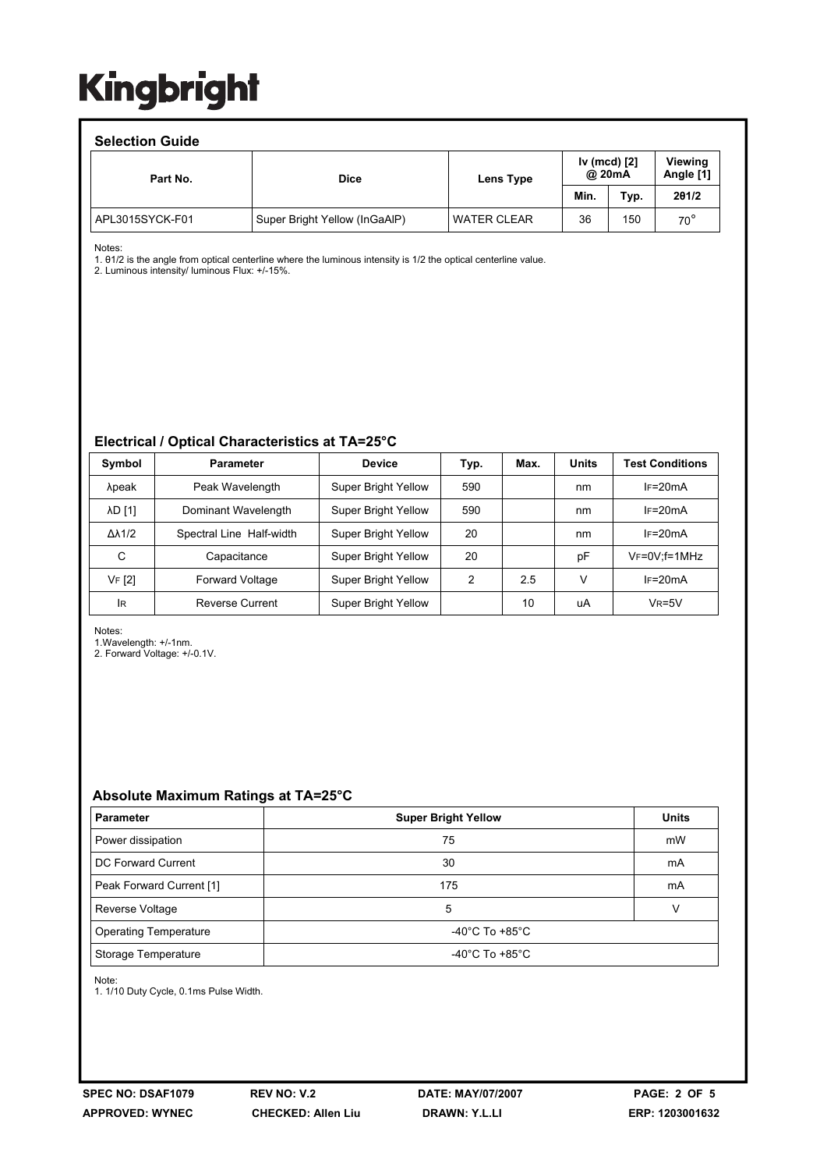### **Selection Guide**

| <b>OCICONOII OUIUC</b> |                               |                    |                          |      |                      |  |  |  |
|------------------------|-------------------------------|--------------------|--------------------------|------|----------------------|--|--|--|
| Part No.               | <b>Dice</b>                   | Lens Type          | Iv (mcd) $[2]$<br>@ 20mA |      | Viewing<br>Angle [1] |  |  |  |
|                        |                               |                    | Min.                     | Typ. | 201/2                |  |  |  |
| APL3015SYCK-F01        | Super Bright Yellow (InGaAIP) | <b>WATER CLEAR</b> | 36                       | 150  | $70^{\circ}$         |  |  |  |

Notes:

1. θ1/2 is the angle from optical centerline where the luminous intensity is 1/2 the optical centerline value.

2. Luminous intensity/ luminous Flux: +/-15%.

#### **Electrical / Optical Characteristics at TA=25°C**

| Symbol              | <b>Parameter</b>         | <b>Device</b>              | Typ. | Max. | <b>Units</b> | <b>Test Conditions</b> |
|---------------------|--------------------------|----------------------------|------|------|--------------|------------------------|
| λpeak               | Peak Wavelength          | <b>Super Bright Yellow</b> | 590  |      | nm           | $IF=20mA$              |
| <b>AD [1]</b>       | Dominant Wavelength      | <b>Super Bright Yellow</b> | 590  |      | nm           | $IF=20mA$              |
| $\Delta\lambda$ 1/2 | Spectral Line Half-width | <b>Super Bright Yellow</b> | 20   |      | nm           | $IF=20mA$              |
| C                   | Capacitance              | <b>Super Bright Yellow</b> | 20   |      | рF           | $V_F = 0V$ ; f = 1MHz  |
| VF [2]              | <b>Forward Voltage</b>   | <b>Super Bright Yellow</b> | 2    | 2.5  | V            | $IF=20mA$              |
| <b>IR</b>           | Reverse Current          | <b>Super Bright Yellow</b> |      | 10   | uA           | $V_R = 5V$             |

Notes:

1.Wavelength: +/-1nm.

2. Forward Voltage: +/-0.1V.

### **Absolute Maximum Ratings at TA=25°C**

| <b>Parameter</b>             | <b>Super Bright Yellow</b>           | <b>Units</b> |
|------------------------------|--------------------------------------|--------------|
| Power dissipation            | 75                                   | mW           |
| DC Forward Current           | 30                                   | mA           |
| Peak Forward Current [1]     | 175                                  | mA           |
| Reverse Voltage              | 5                                    |              |
| <b>Operating Temperature</b> | $-40^{\circ}$ C To $+85^{\circ}$ C   |              |
| Storage Temperature          | -40 $^{\circ}$ C To +85 $^{\circ}$ C |              |

Note:

1. 1/10 Duty Cycle, 0.1ms Pulse Width.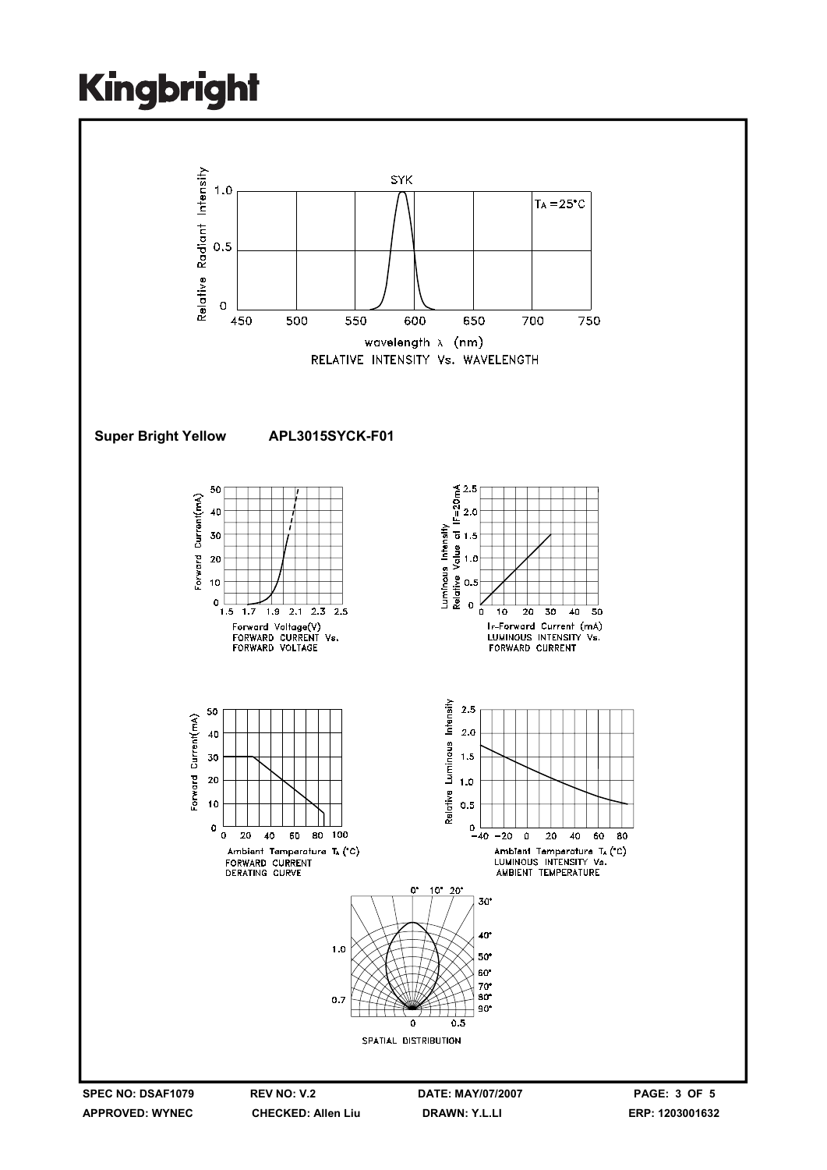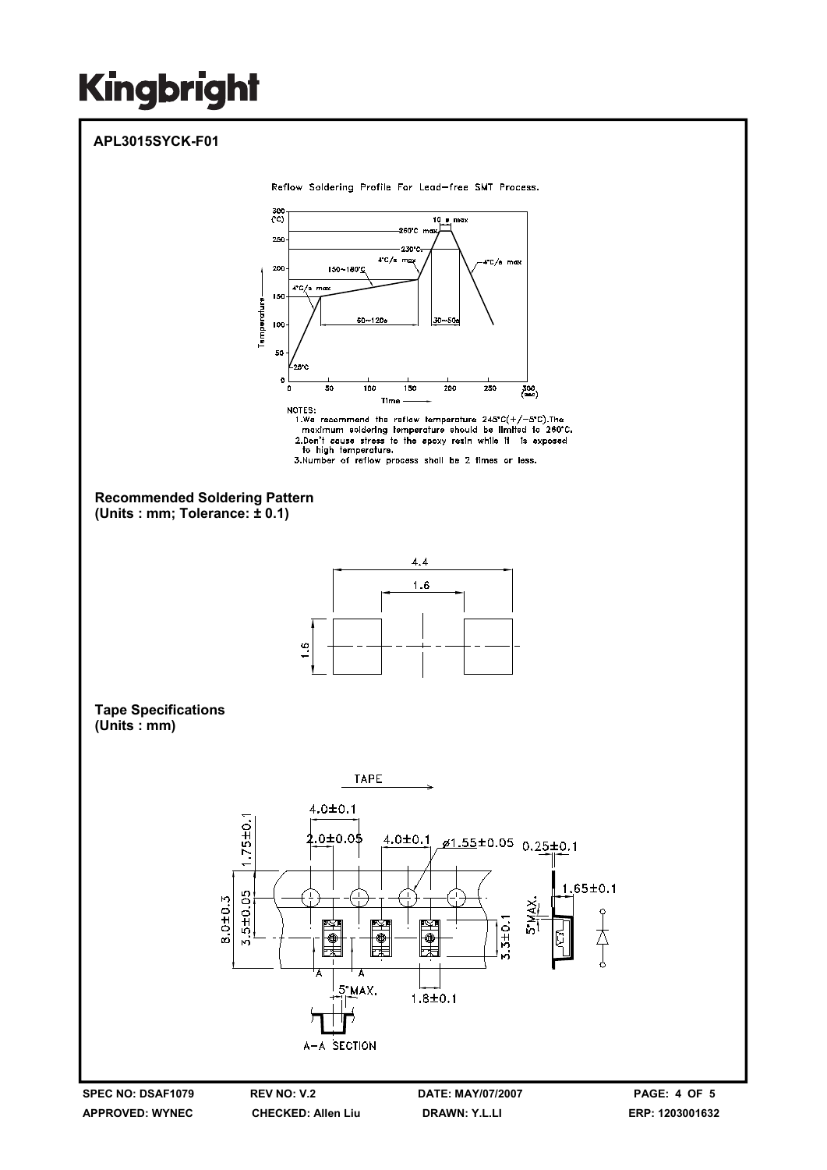**APPROVED: WYNEC** 

**CHECKED: Allen Liu** 

**DRAWN: Y.L.LI** 

ERP: 1203001632